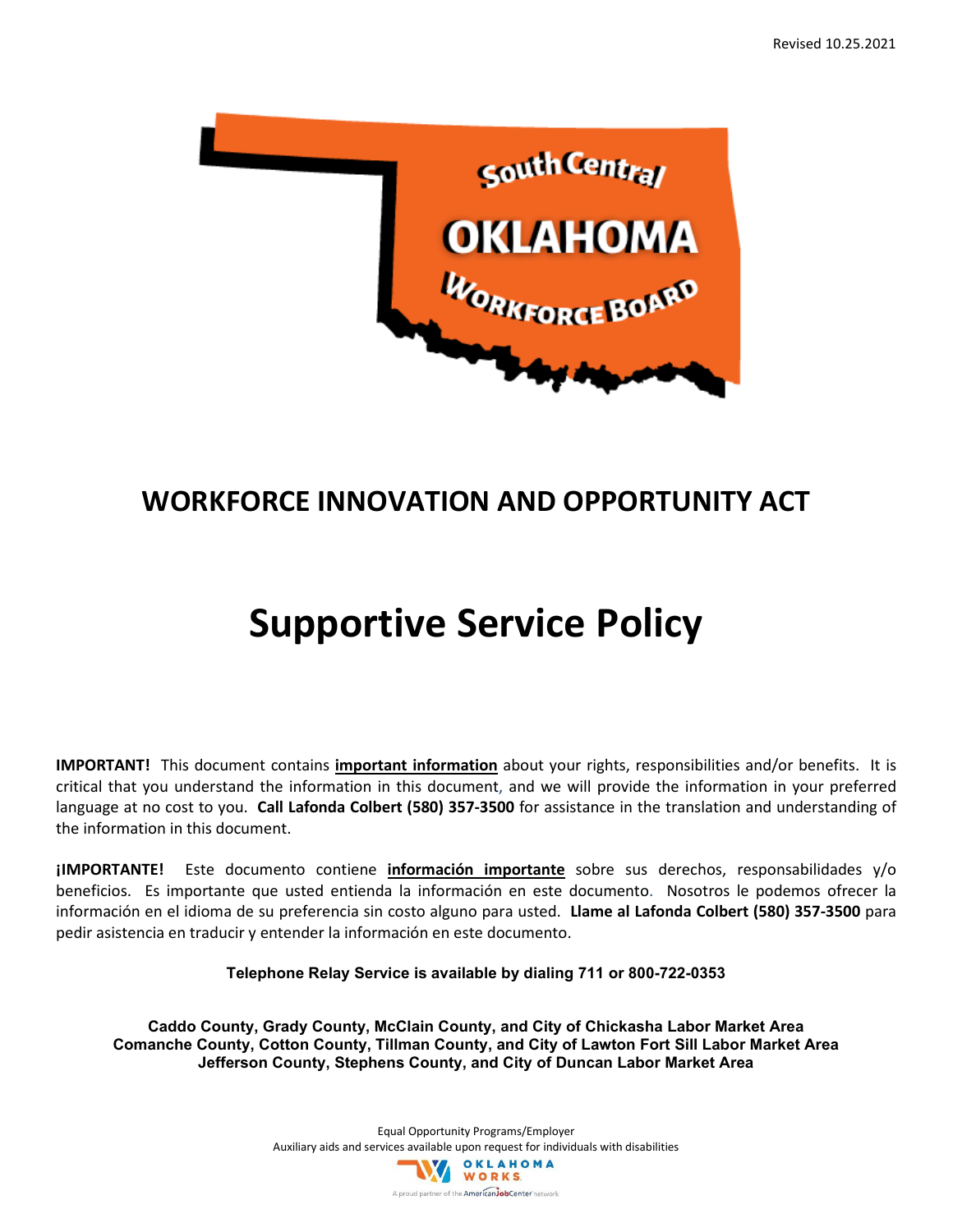

# **WORKFORCE INNOVATION AND OPPORTUNITY ACT**

# **Supportive Service Policy**

**IMPORTANT!** This document contains **important information** about your rights, responsibilities and/or benefits. It is critical that you understand the information in this document, and we will provide the information in your preferred language at no cost to you. **Call Lafonda Colbert (580) 357-3500** for assistance in the translation and understanding of the information in this document.

**¡IMPORTANTE!** Este documento contiene **información importante** sobre sus derechos, responsabilidades y/o beneficios. Es importante que usted entienda la información en este documento. Nosotros le podemos ofrecer la información en el idioma de su preferencia sin costo alguno para usted. **Llame al Lafonda Colbert (580) 357-3500** para pedir asistencia en traducir y entender la información en este documento.

**Telephone Relay Service is available by dialing 711 or 800-722-0353**

**Caddo County, Grady County, McClain County, and City of Chickasha Labor Market Area Comanche County, Cotton County, Tillman County, and City of Lawton Fort Sill Labor Market Area Jefferson County, Stephens County, and City of Duncan Labor Market Area**

> Equal Opportunity Programs/Employer Auxiliary aids and services available upon request for individuals with disabilities<br>
> WORKS A proud partner of the American JobCenter network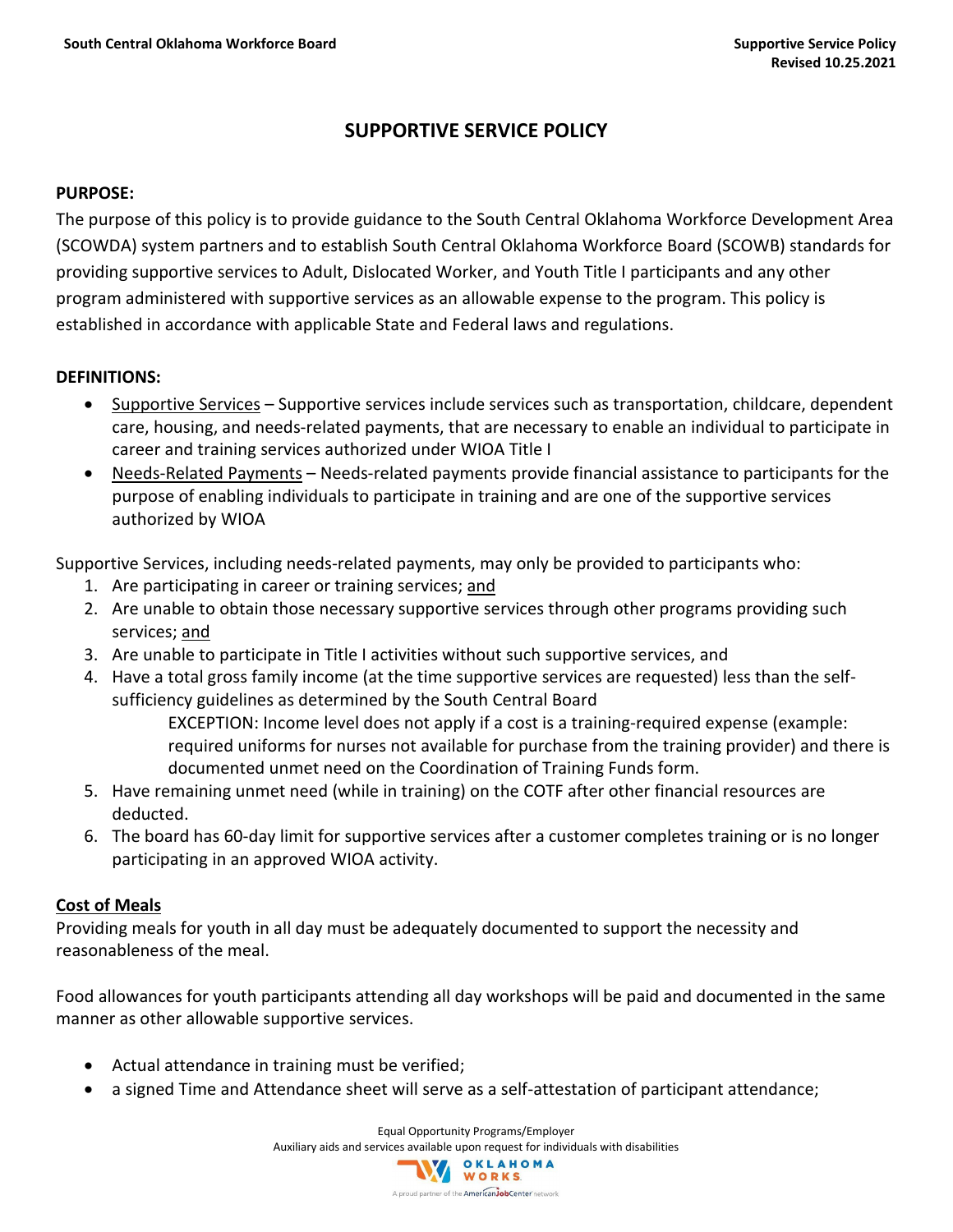# **SUPPORTIVE SERVICE POLICY**

#### **PURPOSE:**

The purpose of this policy is to provide guidance to the South Central Oklahoma Workforce Development Area (SCOWDA) system partners and to establish South Central Oklahoma Workforce Board (SCOWB) standards for providing supportive services to Adult, Dislocated Worker, and Youth Title I participants and any other program administered with supportive services as an allowable expense to the program. This policy is established in accordance with applicable State and Federal laws and regulations.

# **DEFINITIONS:**

- Supportive Services Supportive services include services such as transportation, childcare, dependent care, housing, and needs-related payments, that are necessary to enable an individual to participate in career and training services authorized under WIOA Title I
- Needs-Related Payments Needs-related payments provide financial assistance to participants for the purpose of enabling individuals to participate in training and are one of the supportive services authorized by WIOA

Supportive Services, including needs-related payments, may only be provided to participants who:

- 1. Are participating in career or training services; and
- 2. Are unable to obtain those necessary supportive services through other programs providing such services; and
- 3. Are unable to participate in Title I activities without such supportive services, and
- 4. Have a total gross family income (at the time supportive services are requested) less than the selfsufficiency guidelines as determined by the South Central Board

EXCEPTION: Income level does not apply if a cost is a training-required expense (example: required uniforms for nurses not available for purchase from the training provider) and there is documented unmet need on the Coordination of Training Funds form.

- 5. Have remaining unmet need (while in training) on the COTF after other financial resources are deducted.
- 6. The board has 60-day limit for supportive services after a customer completes training or is no longer participating in an approved WIOA activity.

# **Cost of Meals**

Providing meals for youth in all day must be adequately documented to support the necessity and reasonableness of the meal.

Food allowances for youth participants attending all day workshops will be paid and documented in the same manner as other allowable supportive services.

- Actual attendance in training must be verified;
- a signed Time and Attendance sheet will serve as a self-attestation of participant attendance;

Equal Opportunity Programs/Employer Auxiliary aids and services available upon request for individuals with disabilities<br>
WORKS

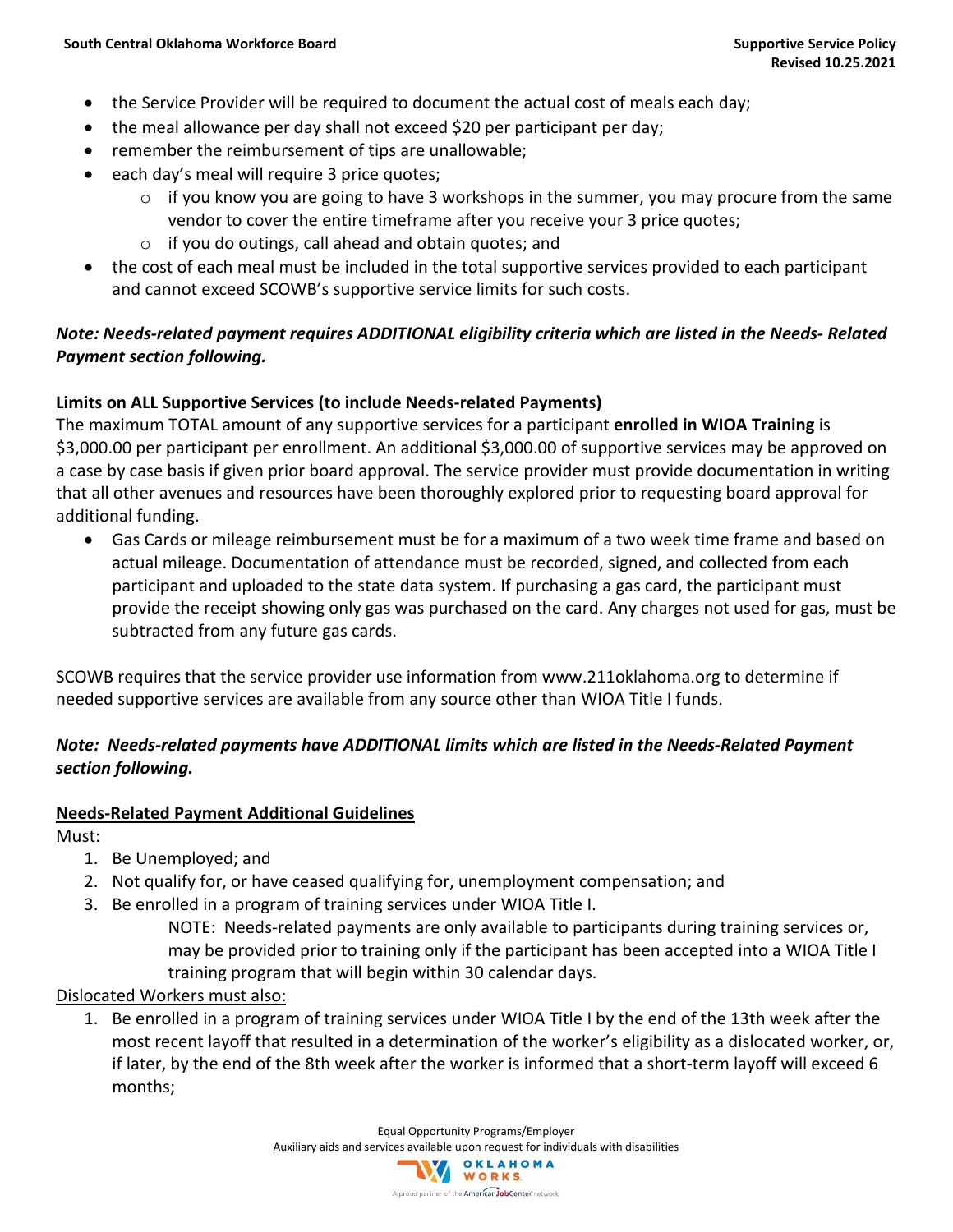- the Service Provider will be required to document the actual cost of meals each day;
- the meal allowance per day shall not exceed \$20 per participant per day;
- remember the reimbursement of tips are unallowable;
- each day's meal will require 3 price quotes;
	- $\circ$  if you know you are going to have 3 workshops in the summer, you may procure from the same vendor to cover the entire timeframe after you receive your 3 price quotes;
	- o if you do outings, call ahead and obtain quotes; and
- the cost of each meal must be included in the total supportive services provided to each participant and cannot exceed SCOWB's supportive service limits for such costs.

# *Note: Needs-related payment requires ADDITIONAL eligibility criteria which are listed in the Needs- Related Payment section following.*

# **Limits on ALL Supportive Services (to include Needs-related Payments)**

The maximum TOTAL amount of any supportive services for a participant **enrolled in WIOA Training** is \$3,000.00 per participant per enrollment. An additional \$3,000.00 of supportive services may be approved on a case by case basis if given prior board approval. The service provider must provide documentation in writing that all other avenues and resources have been thoroughly explored prior to requesting board approval for additional funding.

• Gas Cards or mileage reimbursement must be for a maximum of a two week time frame and based on actual mileage. Documentation of attendance must be recorded, signed, and collected from each participant and uploaded to the state data system. If purchasing a gas card, the participant must provide the receipt showing only gas was purchased on the card. Any charges not used for gas, must be subtracted from any future gas cards.

SCOWB requires that the service provider use information from www.211oklahoma.org to determine if needed supportive services are available from any source other than WIOA Title I funds.

# *Note: Needs-related payments have ADDITIONAL limits which are listed in the Needs-Related Payment section following.*

# **Needs-Related Payment Additional Guidelines**

Must:

- 1. Be Unemployed; and
- 2. Not qualify for, or have ceased qualifying for, unemployment compensation; and
- 3. Be enrolled in a program of training services under WIOA Title I.

NOTE: Needs-related payments are only available to participants during training services or, may be provided prior to training only if the participant has been accepted into a WIOA Title I training program that will begin within 30 calendar days.

# Dislocated Workers must also:

1. Be enrolled in a program of training services under WIOA Title I by the end of the 13th week after the most recent layoff that resulted in a determination of the worker's eligibility as a dislocated worker, or, if later, by the end of the 8th week after the worker is informed that a short-term layoff will exceed 6 months;

> Equal Opportunity Programs/Employer Auxiliary aids and services available upon request for individuals with disabilities<br>
> WORKS A proud partner of the **American Job Center** network